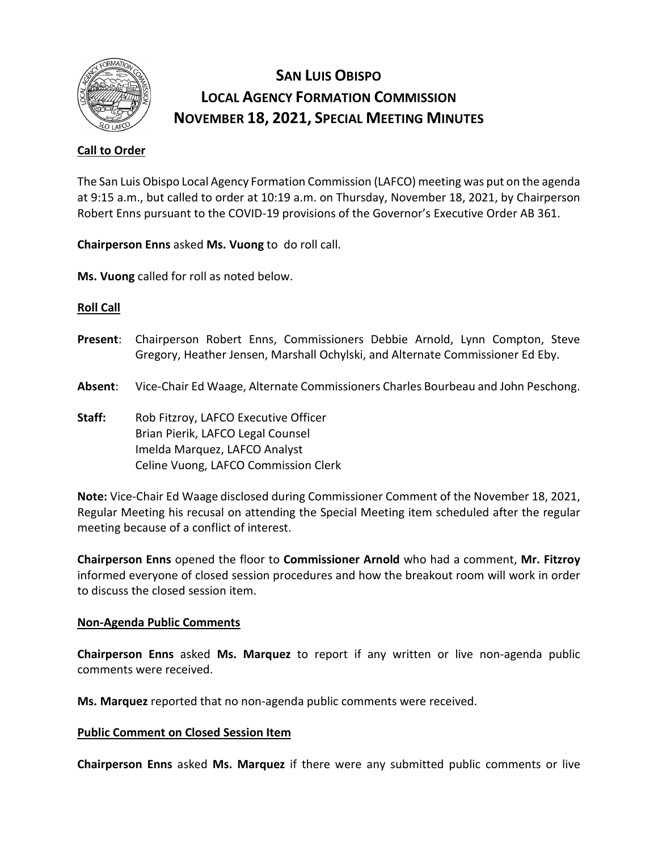

# **SAN LUIS OBISPO LOCAL AGENCY FORMATION COMMISSION NOVEMBER 18, 2021, SPECIAL MEETING MINUTES**

# **Call to Order**

The San Luis Obispo Local Agency Formation Commission (LAFCO) meeting was put on the agenda at 9:15 a.m., but called to order at 10:19 a.m. on Thursday, November 18, 2021, by Chairperson Robert Enns pursuant to the COVID-19 provisions of the Governor's Executive Order AB 361.

**Chairperson Enns** asked **Ms. Vuong** to do roll call.

**Ms. Vuong** called for roll as noted below.

## **Roll Call**

- **Present**: Chairperson Robert Enns, Commissioners Debbie Arnold, Lynn Compton, Steve Gregory, Heather Jensen, Marshall Ochylski, and Alternate Commissioner Ed Eby.
- **Absent**: Vice-Chair Ed Waage, Alternate Commissioners Charles Bourbeau and John Peschong.
- **Staff:** Rob Fitzroy, LAFCO Executive Officer Brian Pierik, LAFCO Legal Counsel Imelda Marquez, LAFCO Analyst Celine Vuong, LAFCO Commission Clerk

**Note:** Vice-Chair Ed Waage disclosed during Commissioner Comment of the November 18, 2021, Regular Meeting his recusal on attending the Special Meeting item scheduled after the regular meeting because of a conflict of interest.

**Chairperson Enns** opened the floor to **Commissioner Arnold** who had a comment, **Mr. Fitzroy**  informed everyone of closed session procedures and how the breakout room will work in order to discuss the closed session item.

## **Non-Agenda Public Comments**

**Chairperson Enns** asked **Ms. Marquez** to report if any written or live non-agenda public comments were received.

**Ms. Marquez** reported that no non-agenda public comments were received.

## **Public Comment on Closed Session Item**

**Chairperson Enns** asked **Ms. Marquez** if there were any submitted public comments or live